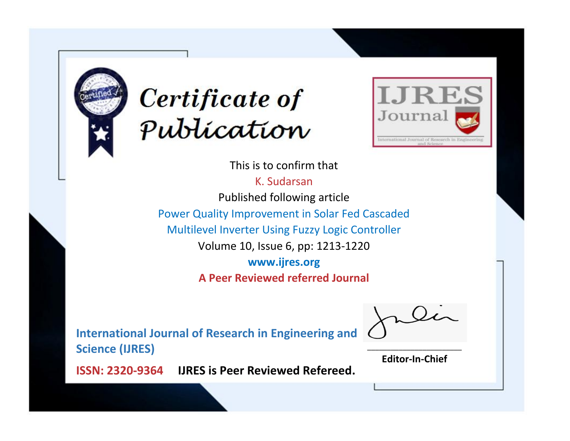



This is to confirm that

K. Sudarsan Published following article Power Quality Improvement in Solar Fed Cascaded Multilevel Inverter Using Fuzzy Logic Controller Volume 10, Issue 6, pp: 1213-1220 **www.ijres.org A Peer Reviewed referred Journal**

**International Journal of Research in Engineering and Science (IJRES)**

\_\_\_\_\_\_\_\_\_\_\_\_\_\_\_\_\_\_\_\_\_\_\_\_ **Editor-In-Chief**

**Journal.**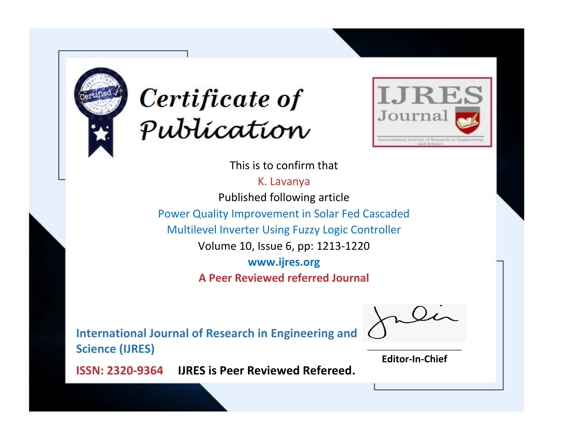



This is to confirm that

K. Lavanya Published following article Power Quality Improvement in Solar Fed Cascaded Multilevel Inverter Using Fuzzy Logic Controller Volume 10, Issue 6, pp: 1213-1220 **www.ijres.org A Peer Reviewed referred Journal**

**International Journal of Research in Engineering and Science (IJRES)**

\_\_\_\_\_\_\_\_\_\_\_\_\_\_\_\_\_\_\_\_\_\_\_\_ **Editor-In-Chief**

**Journal.**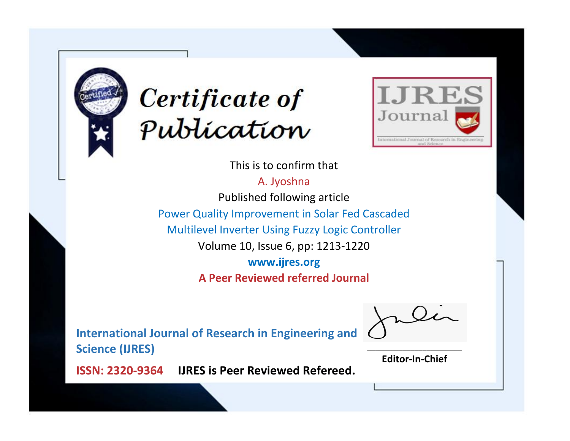



This is to confirm that A. Jyoshna Published following article Power Quality Improvement in Solar Fed Cascaded Multilevel Inverter Using Fuzzy Logic Controller Volume 10, Issue 6, pp: 1213-1220 **www.ijres.org A Peer Reviewed referred Journal**

**International Journal of Research in Engineering and Science (IJRES)**

\_\_\_\_\_\_\_\_\_\_\_\_\_\_\_\_\_\_\_\_\_\_\_\_ **Editor-In-Chief**

**Journal.**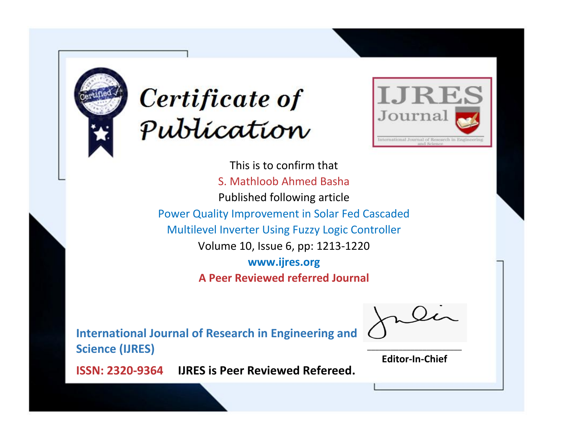



This is to confirm that S. Mathloob Ahmed Basha Published following article Power Quality Improvement in Solar Fed Cascaded Multilevel Inverter Using Fuzzy Logic Controller Volume 10, Issue 6, pp: 1213-1220 **www.ijres.org A Peer Reviewed referred Journal**

**International Journal of Research in Engineering and Science (IJRES)**

\_\_\_\_\_\_\_\_\_\_\_\_\_\_\_\_\_\_\_\_\_\_\_\_ **Editor-In-Chief**

**Journal.**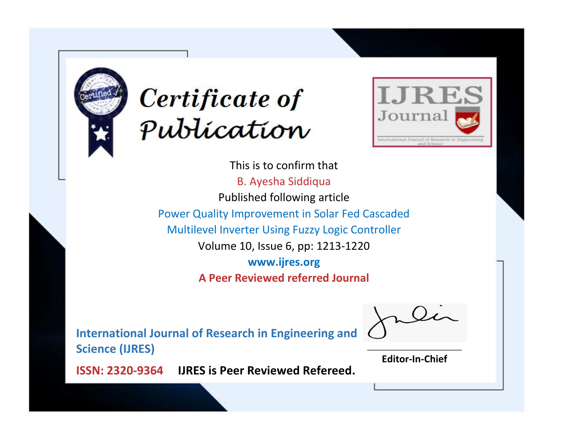



This is to confirm that B. Ayesha Siddiqua Published following article Power Quality Improvement in Solar Fed Cascaded Multilevel Inverter Using Fuzzy Logic Controller Volume 10, Issue 6, pp: 1213-1220 **www.ijres.org A Peer Reviewed referred Journal**

**International Journal of Research in Engineering and Science (IJRES)**

\_\_\_\_\_\_\_\_\_\_\_\_\_\_\_\_\_\_\_\_\_\_\_\_ **Editor-In-Chief**

**Journal.**